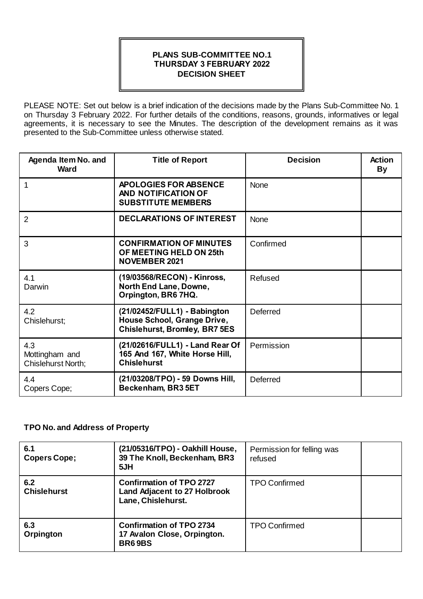## **PLANS SUB-COMMITTEE NO.1 THURSDAY 3 FEBRUARY 2022 DECISION SHEET**

PLEASE NOTE: Set out below is a brief indication of the decisions made by the Plans Sub-Committee No. 1 on Thursday 3 February 2022. For further details of the conditions, reasons, grounds, informatives or legal agreements, it is necessary to see the Minutes. The description of the development remains as it was presented to the Sub-Committee unless otherwise stated.

| Agenda Item No. and<br>Ward                 | <b>Title of Report</b>                                                                              | <b>Decision</b> | <b>Action</b><br><b>By</b> |
|---------------------------------------------|-----------------------------------------------------------------------------------------------------|-----------------|----------------------------|
| 1                                           | <b>APOLOGIES FOR ABSENCE</b><br>AND NOTIFICATION OF<br><b>SUBSTITUTE MEMBERS</b>                    | <b>None</b>     |                            |
| $\overline{2}$                              | <b>DECLARATIONS OF INTEREST</b>                                                                     | <b>None</b>     |                            |
| 3                                           | <b>CONFIRMATION OF MINUTES</b><br>OF MEETING HELD ON 25th<br><b>NOVEMBER 2021</b>                   | Confirmed       |                            |
| 4.1<br>Darwin                               | (19/03568/RECON) - Kinross,<br>North End Lane, Downe,<br>Orpington, BR6 7HQ.                        | Refused         |                            |
| 4.2<br>Chislehurst;                         | (21/02452/FULL1) - Babington<br>House School, Grange Drive,<br><b>Chislehurst, Bromley, BR7 5ES</b> | Deferred        |                            |
| 4.3<br>Mottingham and<br>Chislehurst North; | (21/02616/FULL1) - Land Rear Of<br>165 And 167, White Horse Hill,<br><b>Chislehurst</b>             | Permission      |                            |
| 4.4<br>Copers Cope;                         | (21/03208/TPO) - 59 Downs Hill,<br>Beckenham, BR3 5ET                                               | Deferred        |                            |

## **TPO No. and Address of Property**

| 6.1<br>Copers Cope;       | (21/05316/TPO) - Oakhill House,<br>39 The Knoll, Beckenham, BR3<br>5JH                       | Permission for felling was<br>refused |  |
|---------------------------|----------------------------------------------------------------------------------------------|---------------------------------------|--|
| 6.2<br><b>Chislehurst</b> | <b>Confirmation of TPO 2727</b><br><b>Land Adjacent to 27 Holbrook</b><br>Lane, Chislehurst. | <b>TPO Confirmed</b>                  |  |
| 6.3<br>Orpington          | <b>Confirmation of TPO 2734</b><br>17 Avalon Close, Orpington.<br><b>BR69BS</b>              | <b>TPO Confirmed</b>                  |  |